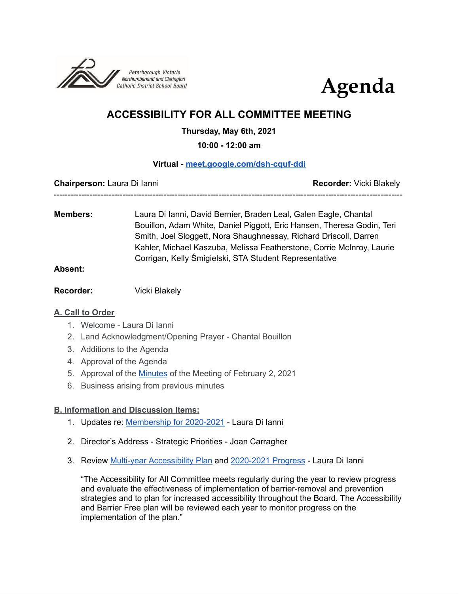



# **ACCESSIBILITY FOR ALL COMMITTEE MEETING**

## **Thursday, May 6th, 2021**

**10:00 - 12:00 am**

## **Virtual - [meet.google.com/dsh-cquf-ddi](http://meet.google.com/dsh-cquf-ddi)**

-------------------------------------------------------------------------------------------------------------------------------

**Chairperson:** Laura Di Ianni **Recorder:** Vicki Blakely

**Members:** Laura Di Ianni, David Bernier, Braden Leal, Galen Eagle, Chantal Bouillon, Adam White, Daniel Piggott, Eric Hansen, Theresa Godin, Teri Smith, Joel Sloggett, Nora Shaughnessay, Richard Driscoll, Darren Kahler, Michael Kaszuba, Melissa Featherstone, Corrie McInroy, Laurie Corrigan, Kelly Śmigielski, STA Student Representative

#### **Absent:**

**Recorder:** Vicki Blakely

## **A. Call to Order**

- 1. Welcome Laura Di Ianni
- 2. Land Acknowledgment/Opening Prayer Chantal Bouillon
- 3. Additions to the Agenda
- 4. Approval of the Agenda
- 5. Approval of the [Minutes](https://docs.google.com/document/d/1NyAxfhD6HdGp1UWiCVoIF-zXCqM5JRB-7h5XbX2NXxQ/edit?usp=sharing) of the Meeting of February 2, 2021
- 6. Business arising from previous minutes

# **B. Information and Discussion Items:**

- 1. Updates re: [Membership](https://docs.google.com/document/d/1qyCf43hqxekzhU6C9aRKoaSor-FDeQX7zm42zxChJAU/edit?usp=sharing) for 2020-2021 Laura Di Ianni
- 2. Director's Address Strategic Priorities Joan Carragher
- 3. Review Multi-year [Accessibility](https://drive.google.com/file/d/15OcvNI__XiKiwgnVH7EkeHzk1zen8kiR/view) Plan and [2020-2021](https://docs.google.com/document/d/1ndIgbh-uX2zGePuk9aselydQGoPpZ3Z8C8yFp7p5PUE/edit?usp=sharing) Progress Laura Di Ianni

"The Accessibility for All Committee meets regularly during the year to review progress and evaluate the effectiveness of implementation of barrier-removal and prevention strategies and to plan for increased accessibility throughout the Board. The Accessibility and Barrier Free plan will be reviewed each year to monitor progress on the implementation of the plan."